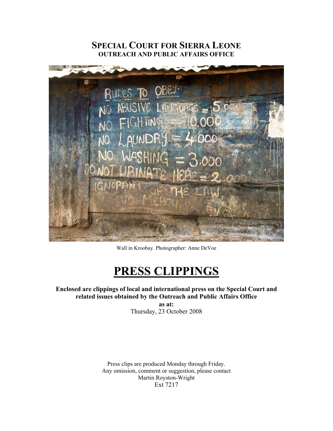# **SPECIAL COURT FOR SIERRA LEONE OUTREACH AND PUBLIC AFFAIRS OFFICE**



Wall in Kroobay. Photographer: Anne DeVoe

# **PRESS CLIPPINGS**

## **Enclosed are clippings of local and international press on the Special Court and related issues obtained by the Outreach and Public Affairs Office**

**as at:**  Thursday, 23 October 2008

Press clips are produced Monday through Friday. Any omission, comment or suggestion, please contact Martin Royston-Wright Ext 7217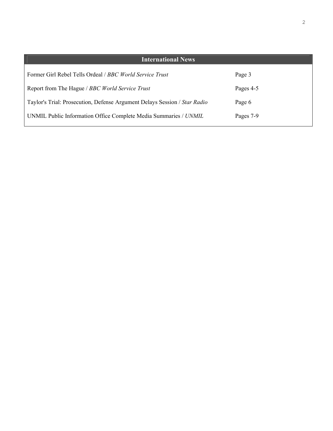| <b>International News</b>                                                 |           |
|---------------------------------------------------------------------------|-----------|
| Former Girl Rebel Tells Ordeal <i>/ BBC World Service Trust</i>           | Page 3    |
| Report from The Hague / BBC World Service Trust                           | Pages 4-5 |
| Taylor's Trial: Prosecution, Defense Argument Delays Session / Star Radio | Page 6    |
| UNMIL Public Information Office Complete Media Summaries / UNMIL          | Pages 7-9 |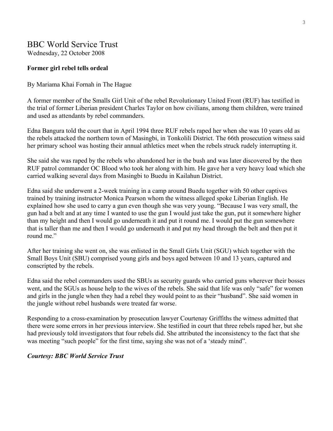# BBC World Service Trust

Wednesday, 22 October 2008

#### **Former girl rebel tells ordeal**

#### By Mariama Khai Fornah in The Hague

A former member of the Smalls Girl Unit of the rebel Revolutionary United Front (RUF) has testified in the trial of former Liberian president Charles Taylor on how civilians, among them children, were trained and used as attendants by rebel commanders.

Edna Bangura told the court that in April 1994 three RUF rebels raped her when she was 10 years old as the rebels attacked the northern town of Masingbi, in Tonkolili District. The 66th prosecution witness said her primary school was hosting their annual athletics meet when the rebels struck rudely interrupting it.

She said she was raped by the rebels who abandoned her in the bush and was later discovered by the then RUF patrol commander OC Blood who took her along with him. He gave her a very heavy load which she carried walking several days from Masingbi to Buedu in Kailahun District.

Edna said she underwent a 2-week training in a camp around Buedu together with 50 other captives trained by training instructor Monica Pearson whom the witness alleged spoke Liberian English. He explained how she used to carry a gun even though she was very young. "Because I was very small, the gun had a belt and at any time I wanted to use the gun I would just take the gun, put it somewhere higher than my height and then I would go underneath it and put it round me. I would put the gun somewhere that is taller than me and then I would go underneath it and put my head through the belt and then put it round me"

After her training she went on, she was enlisted in the Small Girls Unit (SGU) which together with the Small Boys Unit (SBU) comprised young girls and boys aged between 10 and 13 years, captured and conscripted by the rebels.

Edna said the rebel commanders used the SBUs as security guards who carried guns wherever their bosses went, and the SGUs as house help to the wives of the rebels. She said that life was only "safe" for women and girls in the jungle when they had a rebel they would point to as their "husband". She said women in the jungle without rebel husbands were treated far worse.

Responding to a cross-examination by prosecution lawyer Courtenay Griffiths the witness admitted that there were some errors in her previous interview. She testified in court that three rebels raped her, but she had previously told investigators that four rebels did. She attributed the inconsistency to the fact that she was meeting "such people" for the first time, saying she was not of a 'steady mind".

#### *Courtesy: BBC World Service Trust*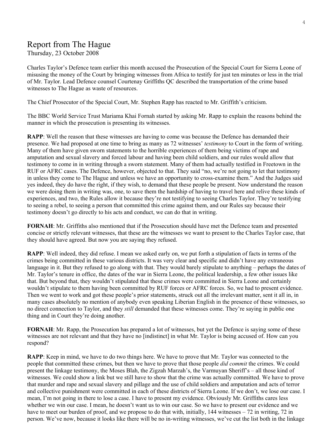# Report from The Hague

Thursday, 23 October 2008

Charles Taylor's Defence team earlier this month accused the Prosecution of the Special Court for Sierra Leone of misusing the money of the Court by bringing witnesses from Africa to testify for just ten minutes or less in the trial of Mr. Taylor. Lead Defence counsel Courtenay Griffiths QC described the transportation of the crime based witnesses to The Hague as waste of resources.

The Chief Prosecutor of the Special Court, Mr. Stephen Rapp has reacted to Mr. Griffith's criticism.

The BBC World Service Trust Mariama Khai Fornah started by asking Mr. Rapp to explain the reasons behind the manner in which the prosecution is presenting its witnesses.

**RAPP**: Well the reason that these witnesses are having to come was because the Defence has demanded their presence. We had proposed at one time to bring as many as 72 witnesses' *testimony* to Court in the form of writing. Many of them have given sworn statements to the horrible experiences of them being victims of rape and amputation and sexual slavery and forced labour and having been child soldiers, and our rules would allow that testimony to come in in writing through a sworn statement. Many of them had actually testified in Freetown in the RUF or AFRC cases. The Defence, however, objected to that. They said "no, we're not going to let that testimony in unless they come to The Hague and unless we have an opportunity to cross-examine them." And the Judges said yes indeed, they do have the right, if they wish, to demand that these people be present. Now understand the reason we were doing them in writing was, one, to save them the hardship of having to travel here and relive these kinds of experiences, and two, the Rules allow it because they're not testifying to seeing Charles Taylor. They're testifying to seeing a rebel, to seeing a person that committed this crime against them, and our Rules say because their testimony doesn't go directly to his acts and conduct, we can do that in writing.

**FORNAH**: Mr. Griffiths also mentioned that if the Prosecution should have met the Defence team and presented concise or strictly relevant witnesses, that these are the witnesses we want to present to the Charles Taylor case, that they should have agreed. But now you are saying they refused.

**RAPP**: Well indeed, they did refuse. I mean we asked early on, we put forth a stipulation of facts in terms of the crimes being committed in these various districts. It was very clear and specific and didn't have any extraneous language in it. But they refused to go along with that. They would barely stipulate to anything – perhaps the dates of Mr. Taylor's tenure in office, the dates of the war in Sierra Leone, the political leadership, a few other issues like that. But beyond that, they wouldn't stipulated that these crimes were committed in Sierra Leone and certainly wouldn't stipulate to them having been committed by RUF forces or AFRC forces. So, we had to present evidence. Then we went to work and got these people's prior statements, struck out all the irrelevant matter, sent it all in, in many cases absolutely no mention of anybody even speaking Liberian English in the presence of these witnesses, so no direct connection to Taylor, and they *still* demanded that these witnesses come. They're saying in public one thing and in Court they're doing another.

**FORNAH**: Mr. Rapp, the Prosecution has prepared a lot of witnesses, but yet the Defence is saying some of these witnesses are not relevant and that they have no [indistinct] in what Mr. Taylor is being accused of. How can you respond?

**RAPP**: Keep in mind, we have to do two things here. We have to prove that Mr. Taylor was connected to the people that committed these crimes, but then we have to prove that those people *did commit* the crimes. We could present the linkage testimony, the Moses Blah, the Zigzah Marzah's, the Varmuyan Sheriff's – all those kind of witnesses. We could show a link but we still have to show that the crime was actually committed. We have to prove that murder and rape and sexual slavery and pillage and the use of child soldiers and amputation and acts of terror and collective punishment were committed in each of these districts of Sierra Leone. If we don't, we lose our case. I mean, I'm not going in there to lose a case. I have to present my evidence. Obviously Mr. Griffiths cares less whether we win our case. I mean, he doesn't want us to win our case. So we have to present our evidence and we have to meet our burden of proof, and we propose to do that with, initially, 144 witnesses – 72 in writing, 72 in person. We've now, because it looks like there will be no in-writing witnesses, we've cut the list both in the linkage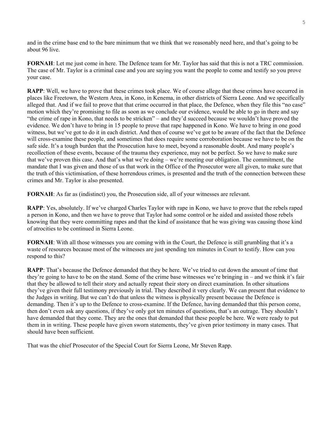and in the crime base end to the bare minimum that we think that we reasonably need here, and that's going to be about 96 live.

**FORNAH**: Let me just come in here. The Defence team for Mr. Taylor has said that this is not a TRC commission. The case of Mr. Taylor is a criminal case and you are saying you want the people to come and testify so you prove your case.

**RAPP**: Well, we have to prove that these crimes took place. We of course allege that these crimes have occurred in places like Freetown, the Western Area, in Kono, in Kenema, in other districts of Sierra Leone. And we specifically alleged that. And if we fail to prove that that crime occurred in that place, the Defence, when they file this "no case" motion which they're promising to file as soon as we conclude our evidence, would be able to go in there and say "the crime of rape in Kono, that needs to be stricken" – and they'd succeed because we wouldn't have proved the evidence. We don't have to bring in 15 people to prove that rape happened in Kono. We have to bring in one good witness, but we've got to do it in each district. And then of course we've got to be aware of the fact that the Defence will cross-examine these people, and sometimes that does require some corroboration because we have to be on the safe side. It's a tough burden that the Prosecution have to meet, beyond a reasonable doubt. And many people's recollection of these events, because of the trauma they experience, may not be perfect. So we have to make sure that we've proven this case. And that's what we're doing – we're meeting our obligation. The commitment, the mandate that I was given and those of us that work in the Office of the Prosecutor were all given, to make sure that the truth of this victimisation, of these horrendous crimes, is presented and the truth of the connection between these crimes and Mr. Taylor is also presented.

**FORNAH**: As far as (indistinct) you, the Prosecution side, all of your witnesses are relevant.

**RAPP**: Yes, absolutely. If we've charged Charles Taylor with rape in Kono, we have to prove that the rebels raped a person in Kono, and then we have to prove that Taylor had some control or he aided and assisted those rebels knowing that they were committing rapes and that the kind of assistance that he was giving was causing those kind of atrocities to be continued in Sierra Leone.

**FORNAH:** With all those witnesses you are coming with in the Court, the Defence is still grumbling that it's a waste of resources because most of the witnesses are just spending ten minutes in Court to testify. How can you respond to this?

**RAPP**: That's because the Defence demanded that they be here. We've tried to cut down the amount of time that they're going to have to be on the stand. Some of the crime base witnesses we're bringing in – and we think it's fair that they be allowed to tell their story and actually repeat their story on direct examination. In other situations they've given their full testimony previously in trial. They described it very clearly. We can present that evidence to the Judges in writing. But we can't do that unless the witness is physically present because the Defence is demanding. Then it's up to the Defence to cross-examine. If the Defence, having demanded that this person come, then don't even ask any questions, if they've only got ten minutes of questions, that's an outrage. They shouldn't have demanded that they come. They are the ones that demanded that these people be here. We were ready to put them in in writing. These people have given sworn statements, they've given prior testimony in many cases. That should have been sufficient.

That was the chief Prosecutor of the Special Court for Sierra Leone, Mr Steven Rapp.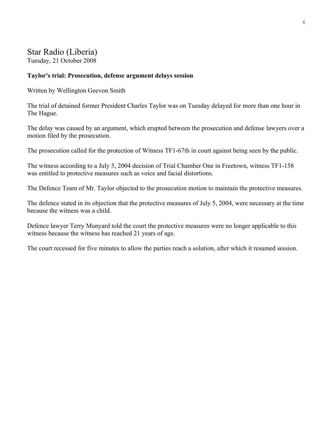## Star Radio (Liberia) Tuesday, 21 October 2008

#### **Taylor's trial: Prosecution, defense argument delays session**

Written by Wellington Geevon Smith

The trial of detained former President Charles Taylor was on Tuesday delayed for more than one hour in The Hague.

The delay was caused by an argument, which erupted between the prosecution and defense lawyers over a motion filed by the prosecution.

The prosecution called for the protection of Witness TF1-67th in court against being seen by the public.

The witness according to a July 5, 2004 decision of Trial Chamber One in Freetown, witness TF1-158 was entitled to protective measures such as voice and facial distortions.

The Defence Team of Mr. Taylor objected to the prosecution motion to maintain the protective measures.

The defence stated in its objection that the protective measures of July 5, 2004, were necessary at the time because the witness was a child.

Defence lawyer Terry Munyard told the court the protective measures were no longer applicable to this witness because the witness has reached 21 years of age.

The court recessed for five minutes to allow the parties reach a solution, after which it resumed session.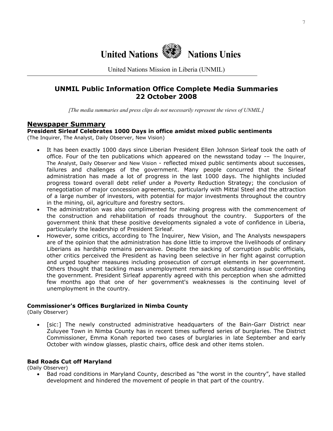

United Nations Mission in Liberia (UNMIL)

### **UNMIL Public Information Office Complete Media Summaries 22 October 2008**

*[The media summaries and press clips do not necessarily represent the views of UNMIL.]*

#### **Newspaper Summary**

#### **President Sirleaf Celebrates 1000 Days in office amidst mixed public sentiments**  (The Inquirer, The Analyst, Daily Observer, New Vision)

- It has been exactly 1000 days since Liberian President Ellen Johnson Sirleaf took the oath of office. Four of the ten publications which appeared on the newsstand today -– The Inquirer, The Analyst, Daily Observer and New Vision - reflected mixed public sentiments about successes, failures and challenges of the government. Many people concurred that the Sirleaf administration has made a lot of progress in the last 1000 days. The highlights included progress toward overall debt relief under a Poverty Reduction Strategy; the conclusion of renegotiation of major concession agreements, particularly with Mittal Steel and the attraction of a large number of investors, with potential for major investments throughout the country in the mining, oil, agriculture and forestry sectors.
- The administration was also complimented for making progress with the commencement of the construction and rehabilitation of roads throughout the country. Supporters of the government think that these positive developments signaled a vote of confidence in Liberia, particularly the leadership of President Sirleaf.
- However, some critics, according to The Inquirer, New Vision, and The Analysts newspapers are of the opinion that the administration has done little to improve the livelihoods of ordinary Liberians as hardship remains pervasive. Despite the sacking of corruption public officials, other critics perceived the President as having been selective in her fight against corruption and urged tougher measures including prosecution of corrupt elements in her government. Others thought that tackling mass unemployment remains an outstanding issue confronting the government. President Sirleaf apparently agreed with this perception when she admitted few months ago that one of her government's weaknesses is the continuing level of unemployment in the country.

#### **Commissioner's Offices Burglarized in Nimba County**

(Daily Observer)

• [sic:] The newly constructed administrative headquarters of the Bain-Garr District near Zuluyee Town in Nimba County has in recent times suffered series of burglaries. The District Commissioner, Emma Konah reported two cases of burglaries in late September and early October with window glasses, plastic chairs, office desk and other items stolen.

#### **Bad Roads Cut off Maryland**

(Daily Observer)

• Bad road conditions in Maryland County, described as "the worst in the country", have stalled development and hindered the movement of people in that part of the country.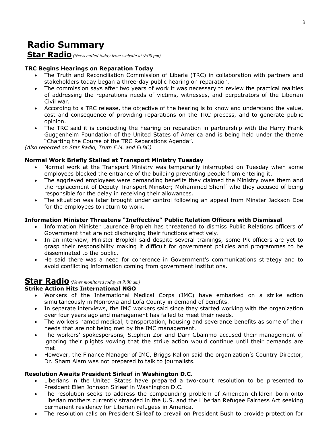# **Radio Summary**

### **Star Radio** *(News culled today from website at 9:00 pm)*

#### **TRC Begins Hearings on Reparation Today**

- The Truth and Reconciliation Commission of Liberia (TRC) in collaboration with partners and stakeholders today began a three-day public hearing on reparation.
- The commission says after two years of work it was necessary to review the practical realities of addressing the reparations needs of victims, witnesses, and perpetrators of the Liberian Civil war.
- According to a TRC release, the objective of the hearing is to know and understand the value, cost and consequence of providing reparations on the TRC process, and to generate public opinion.
- The TRC said it is conducting the hearing on reparation in partnership with the Harry Frank Guggenheim Foundation of the United States of America and is being held under the theme "Charting the Course of the TRC Reparations Agenda".

*(Also reported on Star Radio, Truth F.M. and ELBC)*

#### **Normal Work Briefly Stalled at Transport Ministry Tuesday**

- Normal work at the Transport Ministry was temporarily interrupted on Tuesday when some employees blocked the entrance of the building preventing people from entering it.
- The aggrieved employees were demanding benefits they claimed the Ministry owes them and the replacement of Deputy Transport Minister; Mohammed Sheriff who they accused of being responsible for the delay in receiving their allowances.
- The situation was later brought under control following an appeal from Minster Jackson Doe for the employees to return to work.

#### **Information Minister Threatens "Ineffective" Public Relation Officers with Dismissal**

- Information Minister Laurence Bropleh has threatened to dismiss Public Relations officers of Government that are not discharging their functions effectively.
- In an interview, Minister Bropleh said despite several trainings, some PR officers are yet to grasp their responsibility making it difficult for government policies and programmes to be disseminated to the public.
- He said there was a need for coherence in Government's communications strategy and to avoid conflicting information coming from government institutions.

### **Star Radio** *(News monitored today at 9:00 am)*

#### **Strike Action Hits International NGO**

- Workers of the International Medical Corps (IMC) have embarked on a strike action simultaneously in Monrovia and Lofa County in demand of benefits.
- In separate interviews, the IMC workers said since they started working with the organization over four years ago and management has failed to meet their needs.
- The workers named medical, transportation, housing and severance benefits as some of their needs that are not being met by the IMC management.
- The workers' spokespersons, Stephen Zor and Darr Gbainmo accused their management of ignoring their plights vowing that the strike action would continue until their demands are met.
- However, the Finance Manager of IMC, Briggs Kallon said the organization's Country Director, Dr. Sham Alam was not prepared to talk to journalists.

#### **Resolution Awaits President Sirleaf in Washington D.C.**

- Liberians in the United States have prepared a two-count resolution to be presented to President Ellen Johnson Sirleaf in Washington D.C.
- The resolution seeks to address the compounding problem of American children born onto Liberian mothers currently stranded in the U.S. and the Liberian Refugee Fairness Act seeking permanent residency for Liberian refugees in America.
- The resolution calls on President Sirleaf to prevail on President Bush to provide protection for